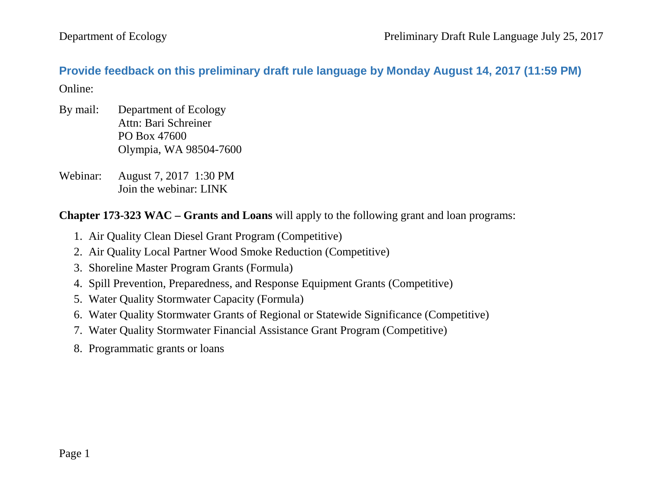<span id="page-0-0"></span>**Provide feedback on this preliminary draft rule language by Monday August 14, 2017 (11:59 PM)** Online:

- By mail: Department of Ecology Attn: Bari Schreiner PO Box 47600 Olympia, WA 98504-7600
- Webinar: August 7, 2017 1:30 PM Join the webinar: LINK

**Chapter 173-323 WAC – Grants and Loans** will apply to the following grant and loan programs:

- 1. Air Quality Clean Diesel Grant Program (Competitive)
- 2. Air Quality Local Partner Wood Smoke Reduction (Competitive)
- 3. Shoreline Master Program Grants (Formula)
- 4. Spill Prevention, Preparedness, and Response Equipment Grants (Competitive)
- 5. Water Quality Stormwater Capacity (Formula)
- 6. Water Quality Stormwater Grants of Regional or Statewide Significance (Competitive)
- 7. Water Quality Stormwater Financial Assistance Grant Program (Competitive)
- 8. Programmatic grants or loans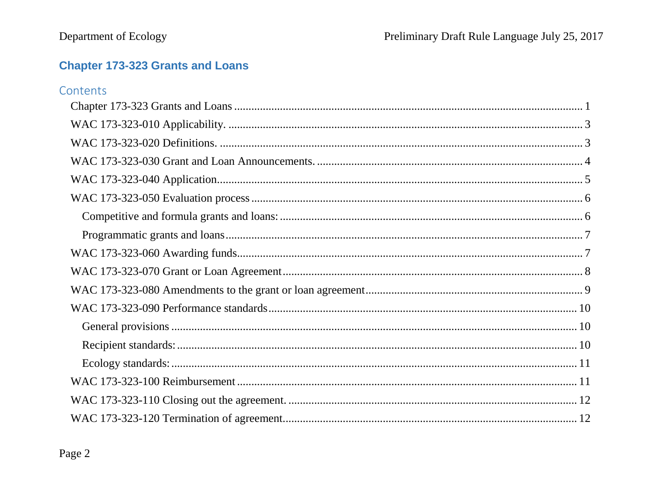# **Chapter 173-323 Grants and Loans**

| Contents |  |
|----------|--|
|          |  |
|          |  |
|          |  |
|          |  |
|          |  |
|          |  |
|          |  |
|          |  |
|          |  |
|          |  |
|          |  |
|          |  |
|          |  |
|          |  |
|          |  |
|          |  |
|          |  |
|          |  |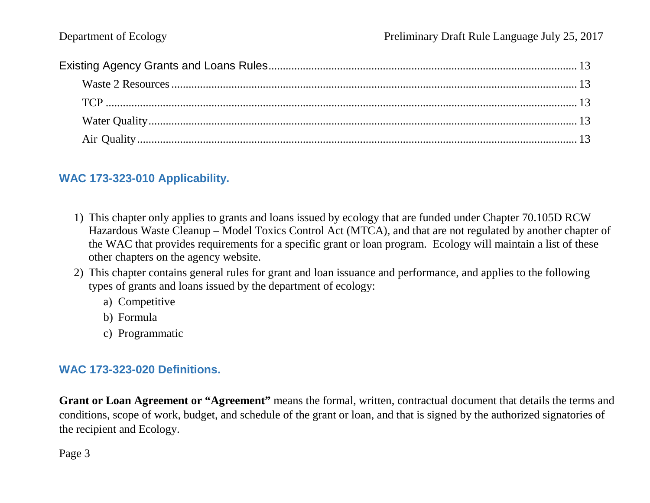## <span id="page-2-0"></span>**WAC 173-323-010 Applicability.**

- 1) This chapter only applies to grants and loans issued by ecology that are funded under Chapter 70.105D RCW Hazardous Waste Cleanup – Model Toxics Control Act (MTCA), and that are not regulated by another chapter of the WAC that provides requirements for a specific grant or loan program. Ecology will maintain a list of these other chapters on the agency website.
- 2) This chapter contains general rules for grant and loan issuance and performance, and applies to the following types of grants and loans issued by the department of ecology:
	- a) Competitive
	- b) Formula
	- c) Programmatic

## <span id="page-2-1"></span>**WAC 173-323-020 Definitions.**

**Grant or Loan Agreement or "Agreement"** means the formal, written, contractual document that details the terms and conditions, scope of work, budget, and schedule of the grant or loan, and that is signed by the authorized signatories of the recipient and Ecology.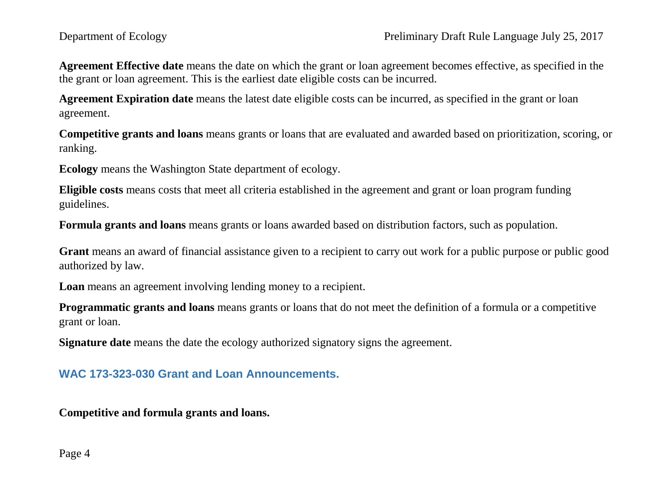**Agreement Effective date** means the date on which the grant or loan agreement becomes effective, as specified in the the grant or loan agreement. This is the earliest date eligible costs can be incurred.

**Agreement Expiration date** means the latest date eligible costs can be incurred, as specified in the grant or loan agreement.

**Competitive grants and loans** means grants or loans that are evaluated and awarded based on prioritization, scoring, or ranking.

**Ecology** means the Washington State department of ecology.

**Eligible costs** means costs that meet all criteria established in the agreement and grant or loan program funding guidelines.

**Formula grants and loans** means grants or loans awarded based on distribution factors, such as population.

**Grant** means an award of financial assistance given to a recipient to carry out work for a public purpose or public good authorized by law.

**Loan** means an agreement involving lending money to a recipient.

**Programmatic grants and loans** means grants or loans that do not meet the definition of a formula or a competitive grant or loan.

**Signature date** means the date the ecology authorized signatory signs the agreement.

# <span id="page-3-0"></span>**WAC 173-323-030 Grant and Loan Announcements.**

**Competitive and formula grants and loans.**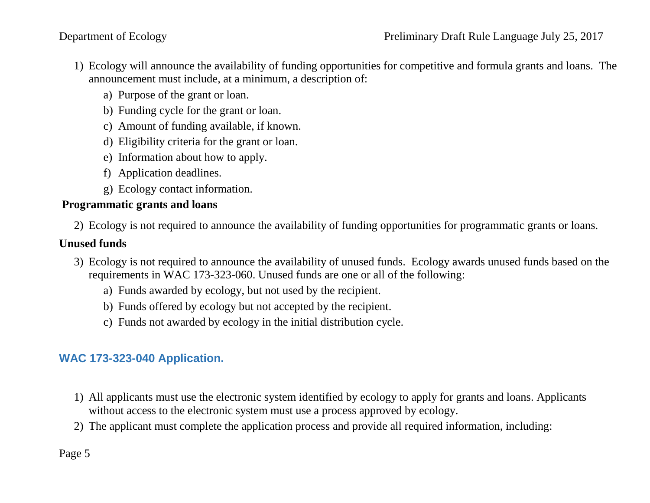- 1) Ecology will announce the availability of funding opportunities for competitive and formula grants and loans. The announcement must include, at a minimum, a description of:
	- a) Purpose of the grant or loan.
	- b) Funding cycle for the grant or loan.
	- c) Amount of funding available, if known.
	- d) Eligibility criteria for the grant or loan.
	- e) Information about how to apply.
	- f) Application deadlines.
	- g) Ecology contact information.

## **Programmatic grants and loans**

2) Ecology is not required to announce the availability of funding opportunities for programmatic grants or loans.

## **Unused funds**

- 3) Ecology is not required to announce the availability of unused funds. Ecology awards unused funds based on the requirements in WAC 173-323-060. Unused funds are one or all of the following:
	- a) Funds awarded by ecology, but not used by the recipient.
	- b) Funds offered by ecology but not accepted by the recipient.
	- c) Funds not awarded by ecology in the initial distribution cycle.

# <span id="page-4-0"></span>**WAC 173-323-040 Application.**

- 1) All applicants must use the electronic system identified by ecology to apply for grants and loans. Applicants without access to the electronic system must use a process approved by ecology.
- 2) The applicant must complete the application process and provide all required information, including: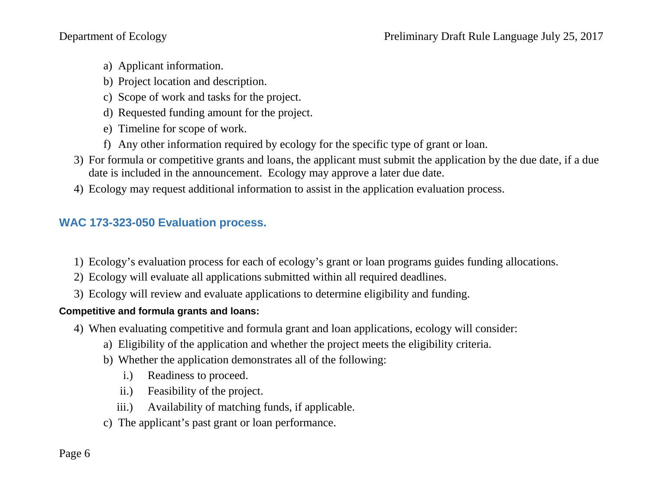- a) Applicant information.
- b) Project location and description.
- c) Scope of work and tasks for the project.
- d) Requested funding amount for the project.
- e) Timeline for scope of work.
- f) Any other information required by ecology for the specific type of grant or loan.
- 3) For formula or competitive grants and loans, the applicant must submit the application by the due date, if a due date is included in the announcement. Ecology may approve a later due date.
- 4) Ecology may request additional information to assist in the application evaluation process.

## <span id="page-5-0"></span>**WAC 173-323-050 Evaluation process.**

- 1) Ecology's evaluation process for each of ecology's grant or loan programs guides funding allocations.
- 2) Ecology will evaluate all applications submitted within all required deadlines.
- 3) Ecology will review and evaluate applications to determine eligibility and funding.

## <span id="page-5-1"></span>**Competitive and formula grants and loans:**

- 4) When evaluating competitive and formula grant and loan applications, ecology will consider:
	- a) Eligibility of the application and whether the project meets the eligibility criteria.
	- b) Whether the application demonstrates all of the following:
		- i.) Readiness to proceed.
		- ii.) Feasibility of the project.
		- iii.) Availability of matching funds, if applicable.
	- c) The applicant's past grant or loan performance.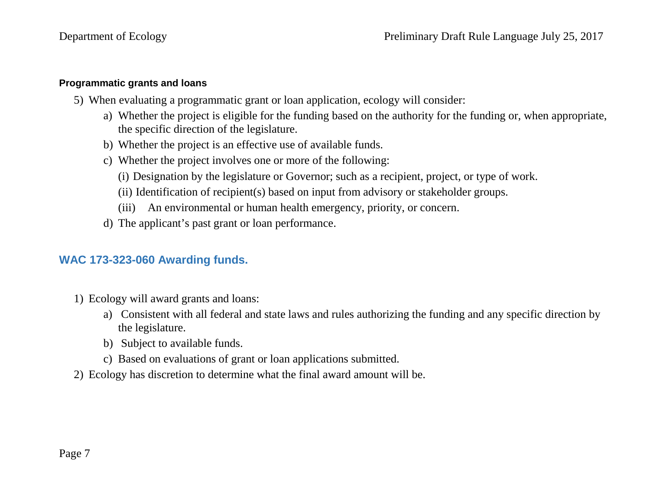#### <span id="page-6-0"></span>**Programmatic grants and loans**

- 5) When evaluating a programmatic grant or loan application, ecology will consider:
	- a) Whether the project is eligible for the funding based on the authority for the funding or, when appropriate, the specific direction of the legislature.
	- b) Whether the project is an effective use of available funds.
	- c) Whether the project involves one or more of the following:
		- (i) Designation by the legislature or Governor; such as a recipient, project, or type of work.
		- (ii) Identification of recipient(s) based on input from advisory or stakeholder groups.
		- (iii) An environmental or human health emergency, priority, or concern.
	- d) The applicant's past grant or loan performance.

## <span id="page-6-1"></span>**WAC 173-323-060 Awarding funds.**

- 1) Ecology will award grants and loans:
	- a) Consistent with all federal and state laws and rules authorizing the funding and any specific direction by the legislature.
	- b) Subject to available funds.
	- c) Based on evaluations of grant or loan applications submitted.
- <span id="page-6-2"></span>2) Ecology has discretion to determine what the final award amount will be.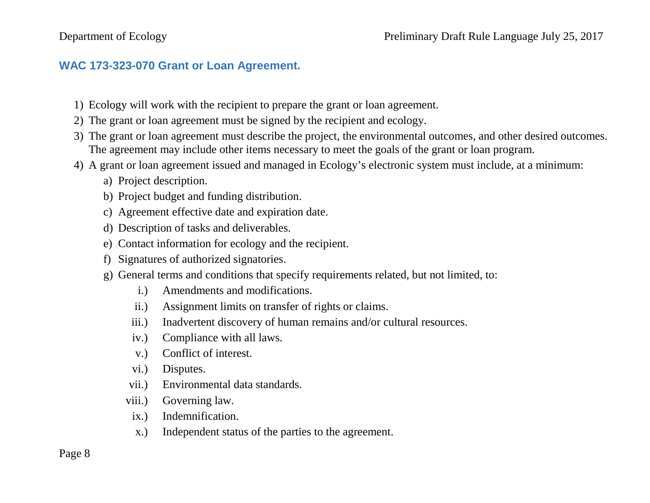## **WAC 173-323-070 Grant or Loan Agreement.**

- 1) Ecology will work with the recipient to prepare the grant or loan agreement.
- 2) The grant or loan agreement must be signed by the recipient and ecology.
- 3) The grant or loan agreement must describe the project, the environmental outcomes, and other desired outcomes. The agreement may include other items necessary to meet the goals of the grant or loan program.
- 4) A grant or loan agreement issued and managed in Ecology's electronic system must include, at a minimum:
	- a) Project description.
	- b) Project budget and funding distribution.
	- c) Agreement effective date and expiration date.
	- d) Description of tasks and deliverables.
	- e) Contact information for ecology and the recipient.
	- f) Signatures of authorized signatories.
	- g) General terms and conditions that specify requirements related, but not limited, to:
		- i.) Amendments and modifications.
		- ii.) Assignment limits on transfer of rights or claims.
		- iii.) Inadvertent discovery of human remains and/or cultural resources.
		- iv.) Compliance with all laws.
		- v.) Conflict of interest.
		- vi.) Disputes.
		- vii.) Environmental data standards.
		- viii.) Governing law.
		- ix.) Indemnification.
		- x.) Independent status of the parties to the agreement.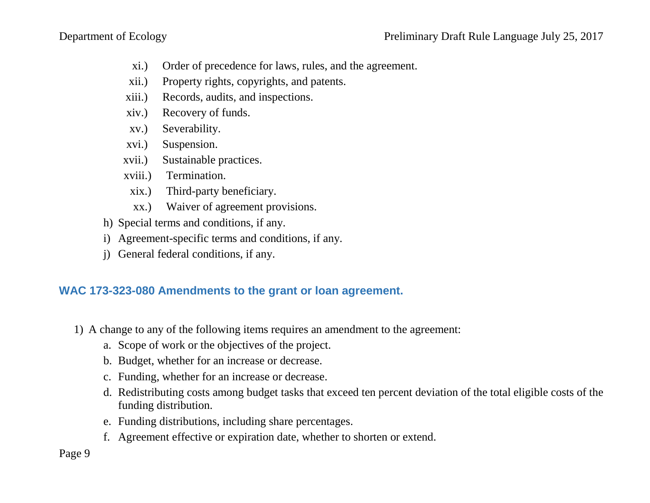- xi.) Order of precedence for laws, rules, and the agreement.
- xii.) Property rights, copyrights, and patents.
- xiii.) Records, audits, and inspections.
- xiv.) Recovery of funds.
- xv.) Severability.
- xvi.) Suspension.
- xvii.) Sustainable practices.
- xviii.) Termination.
	- xix.) Third-party beneficiary.
	- xx.) Waiver of agreement provisions.
- h) Special terms and conditions, if any.
- i) Agreement-specific terms and conditions, if any.
- j) General federal conditions, if any.

# <span id="page-8-0"></span>**WAC 173-323-080 Amendments to the grant or loan agreement.**

- 1) A change to any of the following items requires an amendment to the agreement:
	- a. Scope of work or the objectives of the project.
	- b. Budget, whether for an increase or decrease.
	- c. Funding, whether for an increase or decrease.
	- d. Redistributing costs among budget tasks that exceed ten percent deviation of the total eligible costs of the funding distribution.
	- e. Funding distributions, including share percentages.
	- f. Agreement effective or expiration date, whether to shorten or extend.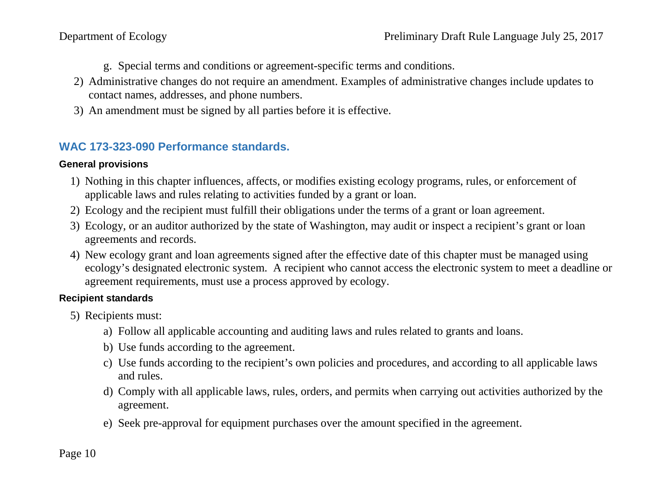- g. Special terms and conditions or agreement-specific terms and conditions.
- 2) Administrative changes do not require an amendment. Examples of administrative changes include updates to contact names, addresses, and phone numbers.
- 3) An amendment must be signed by all parties before it is effective.

# <span id="page-9-0"></span>**WAC 173-323-090 Performance standards.**

## <span id="page-9-1"></span>**General provisions**

- 1) Nothing in this chapter influences, affects, or modifies existing ecology programs, rules, or enforcement of applicable laws and rules relating to activities funded by a grant or loan.
- 2) Ecology and the recipient must fulfill their obligations under the terms of a grant or loan agreement.
- 3) Ecology, or an auditor authorized by the state of Washington, may audit or inspect a recipient's grant or loan agreements and records.
- 4) New ecology grant and loan agreements signed after the effective date of this chapter must be managed using ecology's designated electronic system. A recipient who cannot access the electronic system to meet a deadline or agreement requirements, must use a process approved by ecology.

## <span id="page-9-2"></span>**Recipient standards**

- 5) Recipients must:
	- a) Follow all applicable accounting and auditing laws and rules related to grants and loans.
	- b) Use funds according to the agreement.
	- c) Use funds according to the recipient's own policies and procedures, and according to all applicable laws and rules.
	- d) Comply with all applicable laws, rules, orders, and permits when carrying out activities authorized by the agreement.
	- e) Seek pre-approval for equipment purchases over the amount specified in the agreement.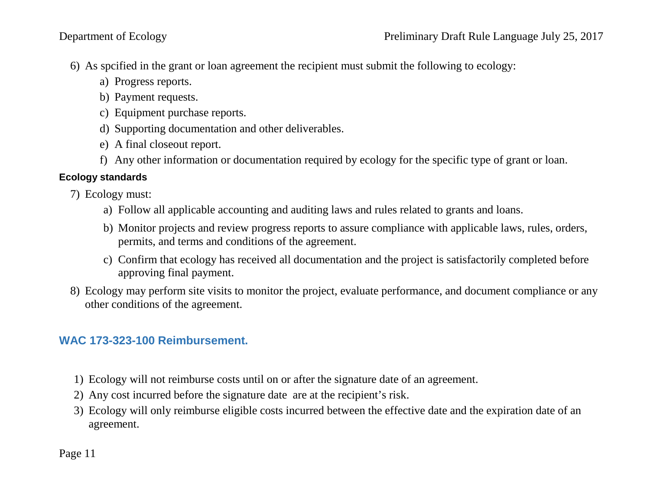- 6) As spcified in the grant or loan agreement the recipient must submit the following to ecology:
	- a) Progress reports.
	- b) Payment requests.
	- c) Equipment purchase reports.
	- d) Supporting documentation and other deliverables.
	- e) A final closeout report.
	- f) Any other information or documentation required by ecology for the specific type of grant or loan.

## <span id="page-10-0"></span>**Ecology standards**

- 7) Ecology must:
	- a) Follow all applicable accounting and auditing laws and rules related to grants and loans.
	- b) Monitor projects and review progress reports to assure compliance with applicable laws, rules, orders, permits, and terms and conditions of the agreement.
	- c) Confirm that ecology has received all documentation and the project is satisfactorily completed before approving final payment.
- 8) Ecology may perform site visits to monitor the project, evaluate performance, and document compliance or any other conditions of the agreement.

# <span id="page-10-1"></span>**WAC 173-323-100 Reimbursement.**

- 1) Ecology will not reimburse costs until on or after the signature date of an agreement.
- 2) Any cost incurred before the signature date are at the recipient's risk.
- 3) Ecology will only reimburse eligible costs incurred between the effective date and the expiration date of an agreement.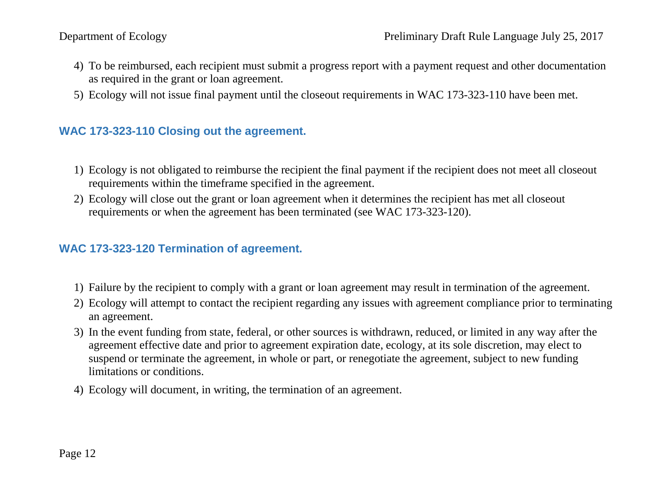- 4) To be reimbursed, each recipient must submit a progress report with a payment request and other documentation as required in the grant or loan agreement.
- 5) Ecology will not issue final payment until the closeout requirements in WAC 173-323-110 have been met.

## <span id="page-11-0"></span>**WAC 173-323-110 Closing out the agreement.**

- 1) Ecology is not obligated to reimburse the recipient the final payment if the recipient does not meet all closeout requirements within the timeframe specified in the agreement.
- 2) Ecology will close out the grant or loan agreement when it determines the recipient has met all closeout requirements or when the agreement has been terminated (see WAC 173-323-120).

## <span id="page-11-1"></span>**WAC 173-323-120 Termination of agreement.**

- 1) Failure by the recipient to comply with a grant or loan agreement may result in termination of the agreement.
- 2) Ecology will attempt to contact the recipient regarding any issues with agreement compliance prior to terminating an agreement.
- 3) In the event funding from state, federal, or other sources is withdrawn, reduced, or limited in any way after the agreement effective date and prior to agreement expiration date, ecology, at its sole discretion, may elect to suspend or terminate the agreement, in whole or part, or renegotiate the agreement, subject to new funding limitations or conditions.
- <span id="page-11-2"></span>4) Ecology will document, in writing, the termination of an agreement.